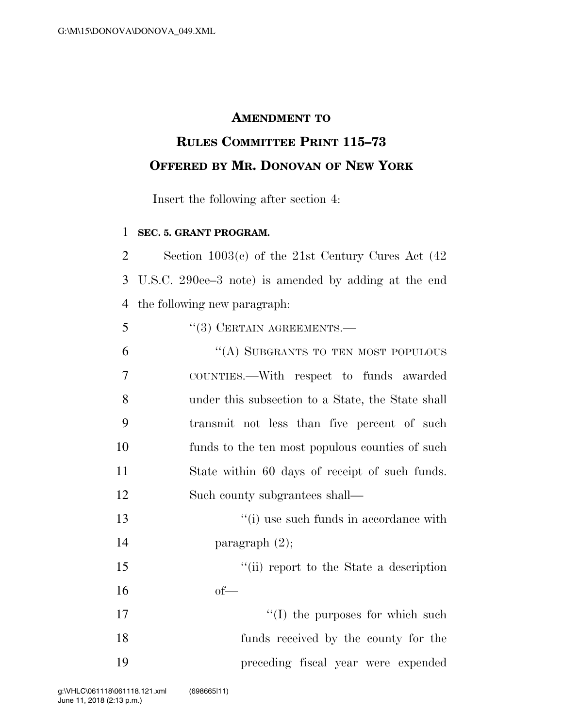## **AMENDMENT TO**

## **RULES COMMITTEE PRINT 115–73 OFFERED BY MR. DONOVAN OF NEW YORK**

Insert the following after section 4:

## **SEC. 5. GRANT PROGRAM.**

 Section 1003(c) of the 21st Century Cures Act (42 U.S.C. 290ee–3 note) is amended by adding at the end the following new paragraph:

 ''(A) SUBGRANTS TO TEN MOST POPULOUS COUNTIES.—With respect to funds awarded under this subsection to a State, the State shall transmit not less than five percent of such funds to the ten most populous counties of such State within 60 days of receipt of such funds. Such county subgrantees shall—

13 ''(i) use such funds in accordance with paragraph (2);

 ''(ii) report to the State a description  $16 \qquad \qquad \text{of}$ 

17  $\frac{17}{2}$  the purposes for which such funds received by the county for the preceding fiscal year were expended